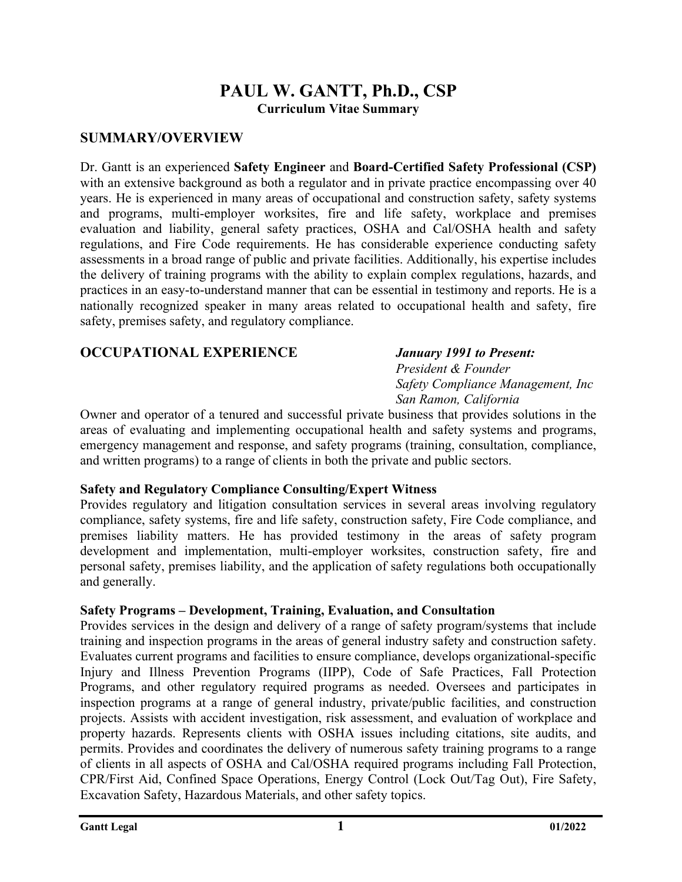# **PAUL W. GANTT, Ph.D., CSP Curriculum Vitae Summary**

## **SUMMARY/OVERVIEW**

Dr. Gantt is an experienced **Safety Engineer** and **Board-Certified Safety Professional (CSP)** with an extensive background as both a regulator and in private practice encompassing over 40 years. He is experienced in many areas of occupational and construction safety, safety systems and programs, multi-employer worksites, fire and life safety, workplace and premises evaluation and liability, general safety practices, OSHA and Cal/OSHA health and safety regulations, and Fire Code requirements. He has considerable experience conducting safety assessments in a broad range of public and private facilities. Additionally, his expertise includes the delivery of training programs with the ability to explain complex regulations, hazards, and practices in an easy-to-understand manner that can be essential in testimony and reports. He is a nationally recognized speaker in many areas related to occupational health and safety, fire safety, premises safety, and regulatory compliance.

## **OCCUPATIONAL EXPERIENCE** *January 1991 to Present:*

# *President & Founder Safety Compliance Management, Inc San Ramon, California*

Owner and operator of a tenured and successful private business that provides solutions in the areas of evaluating and implementing occupational health and safety systems and programs, emergency management and response, and safety programs (training, consultation, compliance, and written programs) to a range of clients in both the private and public sectors.

## **Safety and Regulatory Compliance Consulting/Expert Witness**

Provides regulatory and litigation consultation services in several areas involving regulatory compliance, safety systems, fire and life safety, construction safety, Fire Code compliance, and premises liability matters. He has provided testimony in the areas of safety program development and implementation, multi-employer worksites, construction safety, fire and personal safety, premises liability, and the application of safety regulations both occupationally and generally.

## **Safety Programs – Development, Training, Evaluation, and Consultation**

Provides services in the design and delivery of a range of safety program/systems that include training and inspection programs in the areas of general industry safety and construction safety. Evaluates current programs and facilities to ensure compliance, develops organizational-specific Injury and Illness Prevention Programs (IIPP), Code of Safe Practices, Fall Protection Programs, and other regulatory required programs as needed. Oversees and participates in inspection programs at a range of general industry, private/public facilities, and construction projects. Assists with accident investigation, risk assessment, and evaluation of workplace and property hazards. Represents clients with OSHA issues including citations, site audits, and permits. Provides and coordinates the delivery of numerous safety training programs to a range of clients in all aspects of OSHA and Cal/OSHA required programs including Fall Protection, CPR/First Aid, Confined Space Operations, Energy Control (Lock Out/Tag Out), Fire Safety, Excavation Safety, Hazardous Materials, and other safety topics.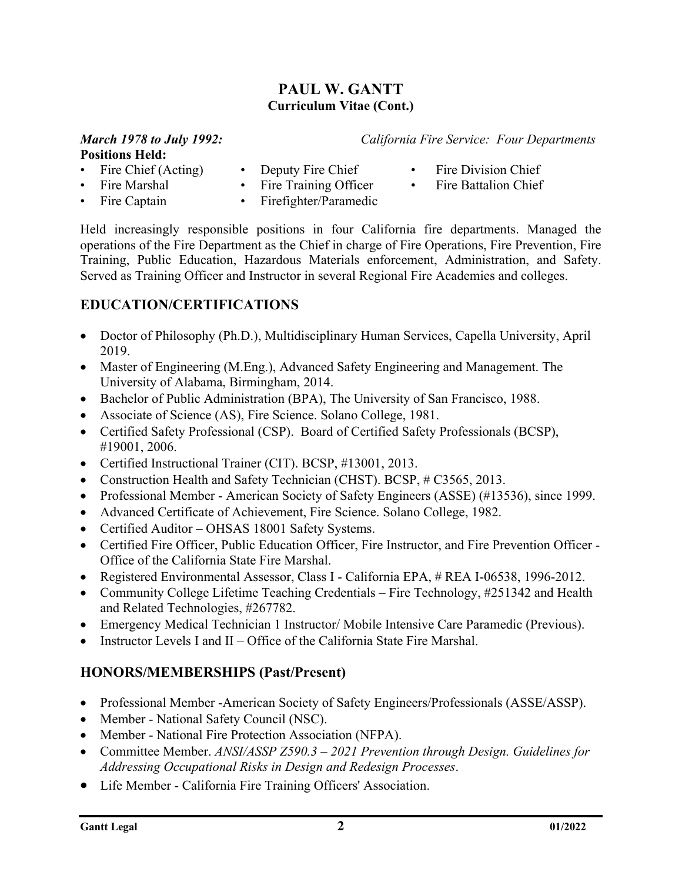# **PAUL W. GANTT Curriculum Vitae (Cont.)**

#### *March 1978 to July 1992: California Fire Service: Four Departments* **Positions Held:**

- Fire Chief (Acting) Deputy Fire Chief Fire Division Chief
- 
- Fire Marshal Fire Training Officer Fire Battalion Chief
- 
- Fire Captain Firefighter/Paramedic
- 
- 
- Held increasingly responsible positions in four California fire departments. Managed the operations of the Fire Department as the Chief in charge of Fire Operations, Fire Prevention, Fire Training, Public Education, Hazardous Materials enforcement, Administration, and Safety. Served as Training Officer and Instructor in several Regional Fire Academies and colleges.

# **EDUCATION/CERTIFICATIONS**

- Doctor of Philosophy (Ph.D.), Multidisciplinary Human Services, Capella University, April 2019.
- Master of Engineering (M.Eng.), Advanced Safety Engineering and Management. The University of Alabama, Birmingham, 2014.
- Bachelor of Public Administration (BPA), The University of San Francisco, 1988.
- Associate of Science (AS), Fire Science. Solano College, 1981.
- Certified Safety Professional (CSP). Board of Certified Safety Professionals (BCSP), #19001, 2006.
- Certified Instructional Trainer (CIT). BCSP, #13001, 2013.
- Construction Health and Safety Technician (CHST). BCSP, #C3565, 2013.
- Professional Member American Society of Safety Engineers (ASSE) (#13536), since 1999.
- Advanced Certificate of Achievement, Fire Science. Solano College, 1982.
- Certified Auditor OHSAS 18001 Safety Systems.
- Certified Fire Officer, Public Education Officer, Fire Instructor, and Fire Prevention Officer Office of the California State Fire Marshal.
- Registered Environmental Assessor, Class I California EPA, # REA I-06538, 1996-2012.
- Community College Lifetime Teaching Credentials Fire Technology, #251342 and Health and Related Technologies, #267782.
- Emergency Medical Technician 1 Instructor/ Mobile Intensive Care Paramedic (Previous).
- Instructor Levels I and II Office of the California State Fire Marshal.

# **HONORS/MEMBERSHIPS (Past/Present)**

- Professional Member -American Society of Safety Engineers/Professionals (ASSE/ASSP).
- Member National Safety Council (NSC).
- Member National Fire Protection Association (NFPA).
- Committee Member. *ANSI/ASSP Z590.3 – 2021 Prevention through Design. Guidelines for Addressing Occupational Risks in Design and Redesign Processes*.
- Life Member California Fire Training Officers' Association.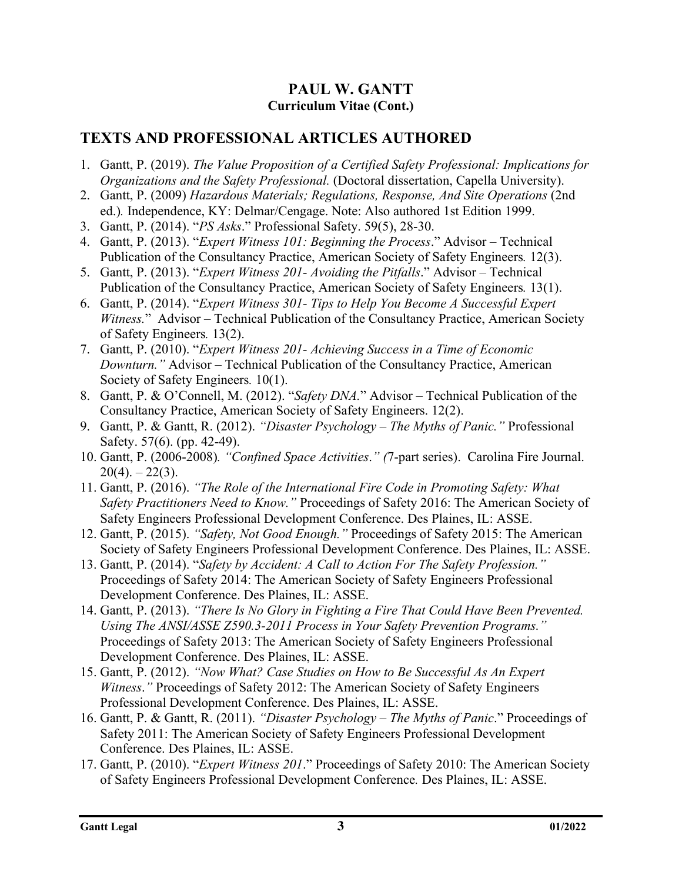# **PAUL W. GANTT Curriculum Vitae (Cont.)**

# **TEXTS AND PROFESSIONAL ARTICLES AUTHORED**

- 1. Gantt, P. (2019). *The Value Proposition of a Certified Safety Professional: Implications for Organizations and the Safety Professional.* (Doctoral dissertation, Capella University).
- 2. Gantt, P. (2009) *Hazardous Materials; Regulations, Response, And Site Operations* (2nd ed.)*.* Independence, KY: Delmar/Cengage. Note: Also authored 1st Edition 1999.
- 3. Gantt, P. (2014). "*PS Asks*." Professional Safety. 59(5), 28-30.
- 4. Gantt, P. (2013). "*Expert Witness 101: Beginning the Process*." Advisor Technical Publication of the Consultancy Practice, American Society of Safety Engineers*.* 12(3).
- 5. Gantt, P. (2013). "*Expert Witness 201- Avoiding the Pitfalls*." Advisor Technical Publication of the Consultancy Practice, American Society of Safety Engineers*.* 13(1).
- 6. Gantt, P. (2014). "*Expert Witness 301- Tips to Help You Become A Successful Expert Witness.*" Advisor – Technical Publication of the Consultancy Practice, American Society of Safety Engineers*.* 13(2).
- 7. Gantt, P. (2010). "*Expert Witness 201- Achieving Success in a Time of Economic Downturn."* Advisor – Technical Publication of the Consultancy Practice, American Society of Safety Engineers*.* 10(1).
- 8. Gantt, P. & O'Connell, M. (2012). "*Safety DNA.*" Advisor Technical Publication of the Consultancy Practice, American Society of Safety Engineers. 12(2).
- 9. Gantt, P. & Gantt, R. (2012). *"Disaster Psychology – The Myths of Panic."* Professional Safety. 57(6). (pp. 42-49).
- 10. Gantt, P. (2006-2008)*. "Confined Space Activities*.*" (*7-part series). Carolina Fire Journal.  $20(4)$ . –  $22(3)$ .
- 11. Gantt, P. (2016). *"The Role of the International Fire Code in Promoting Safety: What Safety Practitioners Need to Know."* Proceedings of Safety 2016: The American Society of Safety Engineers Professional Development Conference. Des Plaines, IL: ASSE.
- 12. Gantt, P. (2015). *"Safety, Not Good Enough."* Proceedings of Safety 2015: The American Society of Safety Engineers Professional Development Conference. Des Plaines, IL: ASSE.
- 13. Gantt, P. (2014). "*Safety by Accident: A Call to Action For The Safety Profession."*  Proceedings of Safety 2014: The American Society of Safety Engineers Professional Development Conference. Des Plaines, IL: ASSE.
- 14. Gantt, P. (2013). *"There Is No Glory in Fighting a Fire That Could Have Been Prevented. Using The ANSI/ASSE Z590.3-2011 Process in Your Safety Prevention Programs."*  Proceedings of Safety 2013: The American Society of Safety Engineers Professional Development Conference. Des Plaines, IL: ASSE.
- 15. Gantt, P. (2012). *"Now What? Case Studies on How to Be Successful As An Expert Witness*.*"* Proceedings of Safety 2012: The American Society of Safety Engineers Professional Development Conference. Des Plaines, IL: ASSE.
- 16. Gantt, P. & Gantt, R. (2011). *"Disaster Psychology – The Myths of Panic*." Proceedings of Safety 2011: The American Society of Safety Engineers Professional Development Conference. Des Plaines, IL: ASSE.
- 17. Gantt, P. (2010). "*Expert Witness 201*." Proceedings of Safety 2010: The American Society of Safety Engineers Professional Development Conference*.* Des Plaines, IL: ASSE.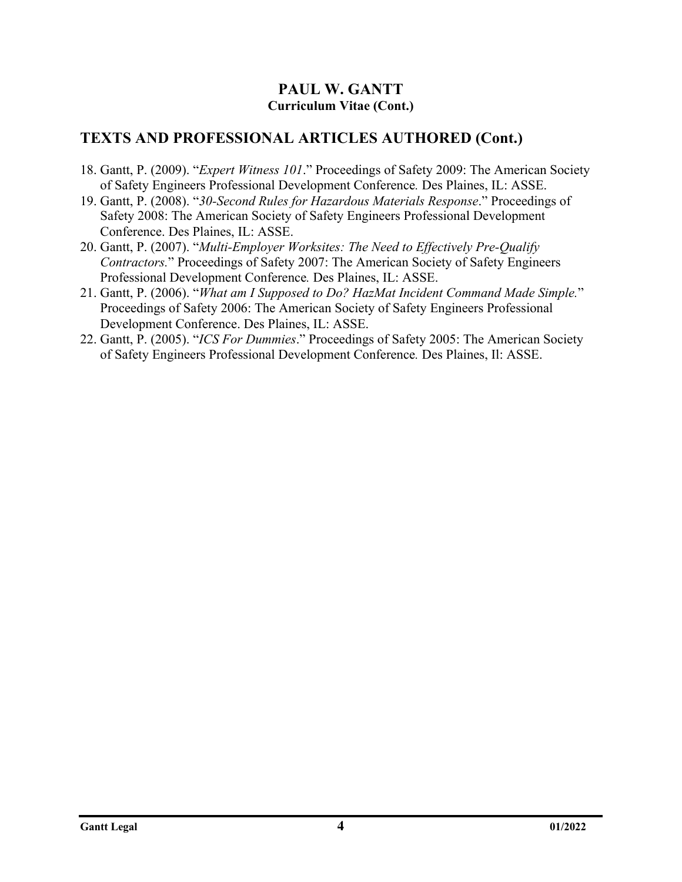## **PAUL W. GANTT Curriculum Vitae (Cont.)**

# **TEXTS AND PROFESSIONAL ARTICLES AUTHORED (Cont.)**

- 18. Gantt, P. (2009). "*Expert Witness 101*." Proceedings of Safety 2009: The American Society of Safety Engineers Professional Development Conference*.* Des Plaines, IL: ASSE.
- 19. Gantt, P. (2008). "*30-Second Rules for Hazardous Materials Response*." Proceedings of Safety 2008: The American Society of Safety Engineers Professional Development Conference. Des Plaines, IL: ASSE.
- 20. Gantt, P. (2007). "*Multi-Employer Worksites: The Need to Effectively Pre-Qualify Contractors.*" Proceedings of Safety 2007: The American Society of Safety Engineers Professional Development Conference*.* Des Plaines, IL: ASSE.
- 21. Gantt, P. (2006). "*What am I Supposed to Do? HazMat Incident Command Made Simple.*" Proceedings of Safety 2006: The American Society of Safety Engineers Professional Development Conference. Des Plaines, IL: ASSE.
- 22. Gantt, P. (2005). "*ICS For Dummies*." Proceedings of Safety 2005: The American Society of Safety Engineers Professional Development Conference*.* Des Plaines, Il: ASSE.